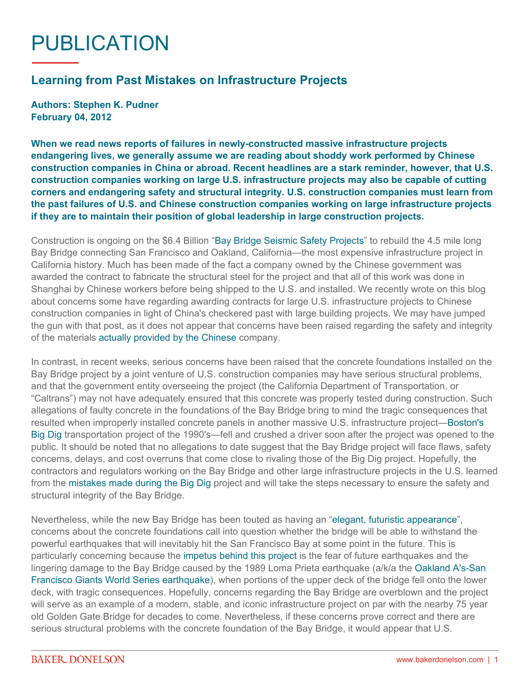## PUBLICATION

## **Learning from Past Mistakes on Infrastructure Projects**

**Authors: Stephen K. Pudner February 04, 2012**

**When we read news reports of failures in newly-constructed massive infrastructure projects endangering lives, we generally assume we are reading about shoddy work performed by Chinese construction companies in China or abroad. Recent headlines are a stark reminder, however, that U.S. construction companies working on large U.S. infrastructure projects may also be capable of cutting corners and endangering safety and structural integrity. U.S. construction companies must learn from the past failures of U.S. and Chinese construction companies working on large infrastructure projects if they are to maintain their position of global leadership in large construction projects.**

Construction is ongoing on the \$6.4 Billion ["Bay Bridge Seismic Safety Projects"](http://baybridgeinfo.org/) to rebuild the 4.5 mile long Bay Bridge connecting San Francisco and Oakland, California—the most expensive infrastructure project in California history. Much has been made of the fact a company owned by the Chinese government was awarded the contract to fabricate the structural steel for the project and that all of this work was done in Shanghai by Chinese workers before being shipped to the U.S. and installed. We recently wrote on this blog about concerns some have regarding awarding contracts for large U.S. infrastructure projects to Chinese construction companies in light of China's checkered past with large building projects. We may have jumped the gun with that post, as it does not appear that concerns have been raised regarding the safety and integrity of the materials [actually provided by the Chinese](http://www.bloomberg.com/news/2011-07-11/sf-bay-bridge-gets-5-300-ton-delivery-from-china.html) company.

In contrast, in recent weeks, serious concerns have been raised that the concrete foundations installed on the Bay Bridge project by a joint venture of U.S. construction companies may have serious structural problems, and that the government entity overseeing the project (the California Department of Transportation, or "Caltrans") may not have adequately ensured that this concrete was properly tested during construction. Such allegations of faulty concrete in the foundations of the Bay Bridge bring to mind the tragic consequences that resulted when improperly installed concrete panels in another massive U.S. infrastructure project[—Boston's](http://www.boston.com/bostonglobe/editorial_opinion/oped/articles/2011/08/14/big_digs_ongoing_collapse_of_credibility/)  [Big Dig](http://www.boston.com/bostonglobe/editorial_opinion/oped/articles/2011/08/14/big_digs_ongoing_collapse_of_credibility/) transportation project of the 1990's—fell and crushed a driver soon after the project was opened to the public. It should be noted that no allegations to date suggest that the Bay Bridge project will face flaws, safety concerns, delays, and cost overruns that come close to rivaling those of the Big Dig project. Hopefully, the contractors and regulators working on the Bay Bridge and other large infrastructure projects in the U.S. learned from the [mistakes made during the Big Dig p](http://www.boston.com/bostonglobe/editorial_opinion/oped/articles/2011/08/14/big_digs_ongoing_collapse_of_credibility/)roject and will take the steps necessary to ensure the safety and structural integrity of the Bay Bridge.

Nevertheless, while the new Bay Bridge has been touted as having an "[elegant, futuristic appearance](http://baybridgeinfo.org/sites/default/files/pdf/sasfactsheet.pdf)", concerns about the concrete foundations call into question whether the bridge will be able to withstand the powerful earthquakes that will inevitably hit the San Francisco Bay at some point in the future. This is particularly concerning because the [impetus behind this project](http://www.dot.ca.gov/hq/esc/tollbridge/SFOBB/Sfobbfacts.html) is the fear of future earthquakes and the lingering damage to the Bay Bridge caused by the 1989 Loma Prieta earthquake (a/k/a the [Oakland A's-San](http://www.youtube.com/watch?v=_4QrWAmRyos&feature=related)  [Francisco Giants World Series earthquake\)](http://www.youtube.com/watch?v=_4QrWAmRyos&feature=related), when portions of the upper deck of the bridge fell onto the lower deck, with tragic consequences. Hopefully, concerns regarding the Bay Bridge are overblown and the project will serve as an example of a modern, stable, and iconic infrastructure project on par with the nearby 75 year old Golden Gate Bridge for decades to come. Nevertheless, if these concerns prove correct and there are serious structural problems with the concrete foundation of the Bay Bridge, it would appear that U.S.